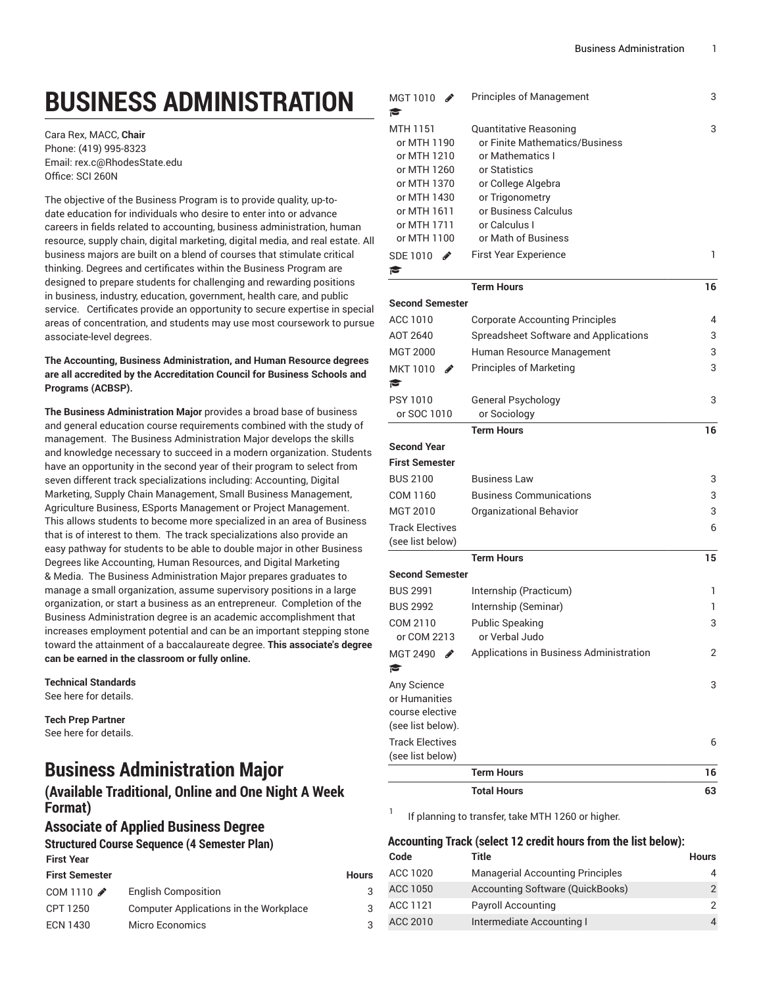# **BUSINESS ADMINISTRATION**

Cara Rex, MACC, **Chair** Phone: (419) 995-8323 Email: [rex.c@RhodesState.edu](mailto:rex.c@RhodesState.edu) Office: SCI 260N

The objective of the Business Program is to provide quality, up-todate education for individuals who desire to enter into or advance careers in fields related to accounting, business administration, human resource, supply chain, digital marketing, digital media, and real estate. All business majors are built on a blend of courses that stimulate critical thinking. Degrees and certificates within the Business Program are designed to prepare students for challenging and rewarding positions in business, industry, education, government, health care, and public service. Certificates provide an opportunity to secure expertise in special areas of concentration, and students may use most coursework to pursue associate-level degrees.

#### **The Accounting, Business Administration, and Human Resource degrees are all accredited by the Accreditation Council for Business Schools and Programs (ACBSP).**

**The Business Administration Major** provides a broad base of business and general education course requirements combined with the study of management. The Business Administration Major develops the skills and knowledge necessary to succeed in a modern organization. Students have an opportunity in the second year of their program to select from seven different track specializations including: Accounting, Digital Marketing, Supply Chain Management, Small Business Management, Agriculture Business, ESports Management or Project Management. This allows students to become more specialized in an area of Business that is of interest to them. The track specializations also provide an easy pathway for students to be able to double major in other Business Degrees like Accounting, Human Resources, and Digital Marketing & Media. The Business Administration Major prepares graduates to manage a small organization, assume supervisory positions in a large organization, or start a business as an entrepreneur. Completion of the Business Administration degree is an academic accomplishment that increases employment potential and can be an important stepping stone toward the attainment of a baccalaureate degree. **This associate's degree can be earned in the classroom or fully online.**

**Technical Standards** See [here](http://catalog.rhodesstate.edu/divisions/business-public-service/#technicalstandardstext) for details.

**Tech Prep Partner** See [here](http://catalog.rhodesstate.edu/admissions/techprep/) for details.

# **Business Administration Major**

# **(Available Traditional, Online and One Night A Week Format)**

# **Associate of Applied Business Degree**

#### **Structured Course Sequence (4 Semester Plan) First Year**

| <b>First Semester</b> |                                        | <b>Hours</b> |
|-----------------------|----------------------------------------|--------------|
| COM 1110 $\triangle$  | <b>English Composition</b>             | 3            |
| CPT 1250              | Computer Applications in the Workplace | 3            |
| <b>ECN 1430</b>       | Micro Economics                        | 3            |

| MGT 1010                                                            | <b>Principles of Management</b>         | 3  |
|---------------------------------------------------------------------|-----------------------------------------|----|
| r<br>MTH 1151                                                       | Quantitative Reasoning                  | 3  |
| or MTH 1190                                                         | or Finite Mathematics/Business          |    |
| or MTH 1210                                                         | or Mathematics I                        |    |
| or MTH 1260                                                         | or Statistics                           |    |
| or MTH 1370                                                         | or College Algebra                      |    |
| or MTH 1430                                                         | or Trigonometry                         |    |
| or MTH 1611                                                         | or Business Calculus                    |    |
| or MTH 1711                                                         | or Calculus I                           |    |
| or MTH 1100                                                         | or Math of Business                     |    |
| SDE 1010<br>∥                                                       | <b>First Year Experience</b>            | 1  |
| r                                                                   |                                         |    |
|                                                                     | <b>Term Hours</b>                       | 16 |
| <b>Second Semester</b>                                              |                                         |    |
| ACC 1010                                                            | <b>Corporate Accounting Principles</b>  | 4  |
| AOT 2640                                                            | Spreadsheet Software and Applications   | 3  |
| <b>MGT 2000</b>                                                     | Human Resource Management               | 3  |
| MKT 1010<br>∥                                                       | <b>Principles of Marketing</b>          | 3  |
| r                                                                   |                                         |    |
| <b>PSY 1010</b>                                                     | <b>General Psychology</b>               | 3  |
| or SOC 1010                                                         | or Sociology                            |    |
|                                                                     | <b>Term Hours</b>                       | 16 |
| <b>Second Year</b>                                                  |                                         |    |
| <b>First Semester</b>                                               |                                         |    |
| <b>BUS 2100</b>                                                     | <b>Business Law</b>                     | 3  |
| COM 1160                                                            | Business Communications                 | 3  |
| MGT 2010                                                            | Organizational Behavior                 | 3  |
| <b>Track Electives</b>                                              |                                         | 6  |
| (see list below)                                                    |                                         |    |
|                                                                     | <b>Term Hours</b>                       | 15 |
| <b>Second Semester</b>                                              |                                         |    |
| <b>BUS 2991</b>                                                     | Internship (Practicum)                  | 1  |
| <b>BUS 2992</b>                                                     | Internship (Seminar)                    | 1  |
| COM 2110                                                            | <b>Public Speaking</b>                  | 3  |
| or COM 2213                                                         | or Verbal Judo                          |    |
| MGT 2490<br>$\label{eq:1} \begin{array}{c} \mathcal{P} \end{array}$ | Applications in Business Administration | 2  |
| r                                                                   |                                         |    |
| Any Science                                                         |                                         | 3  |
| or Humanities                                                       |                                         |    |
| course elective                                                     |                                         |    |
| (see list below).                                                   |                                         |    |
| <b>Track Electives</b>                                              |                                         | 6  |
| (see list below)                                                    |                                         |    |
|                                                                     | <b>Term Hours</b>                       | 16 |
|                                                                     | <b>Total Hours</b>                      | 63 |

1 If planning to transfer, take MTH 1260 or higher.

# **Accounting Track (select 12 credit hours from the list below):**

| Code     | Title                                   | <b>Hours</b> |
|----------|-----------------------------------------|--------------|
| ACC 1020 | <b>Managerial Accounting Principles</b> |              |
| ACC 1050 | Accounting Software (QuickBooks)        |              |
| ACC 1121 | <b>Payroll Accounting</b>               |              |
| ACC 2010 | Intermediate Accounting I               |              |